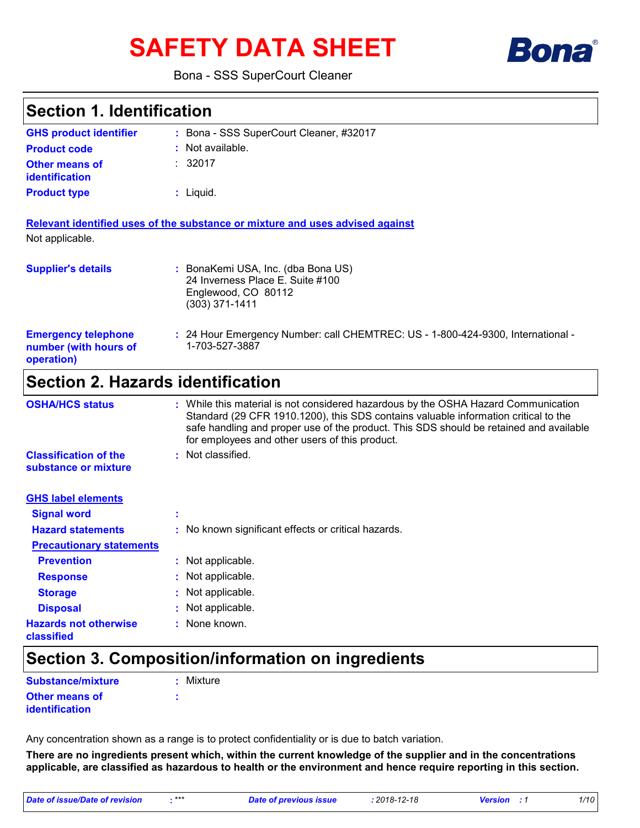# **SAFETY DATA SHEET**



#### Bona - SSS SuperCourt Cleaner

### **Section 1. Identification**

| <b>GHS product identifier</b>                  | : Bona - SSS SuperCourt Cleaner, #32017 |
|------------------------------------------------|-----------------------------------------|
| <b>Product code</b>                            | $:$ Not available.                      |
| <b>Other means of</b><br><b>identification</b> | : 32017                                 |
| <b>Product type</b>                            | $:$ Liquid.                             |

| Relevant identified uses of the substance or mixture and uses advised against |  |  |  |  |  |
|-------------------------------------------------------------------------------|--|--|--|--|--|
| Not applicable.                                                               |  |  |  |  |  |

| <b>Supplier's details</b> | : BonaKemi USA, Inc. (dba Bona US)<br>24 Inverness Place E. Suite #100<br>Englewood, CO 80112<br>$(303)$ 371-1411 |
|---------------------------|-------------------------------------------------------------------------------------------------------------------|
|                           |                                                                                                                   |

#### 24 Hour Emergency Number: call CHEMTREC: US - 1-800-424-9300, International - **:** 1-703-527-3887 **Emergency telephone number (with hours of operation)**

### **Section 2. Hazards identification**

| <b>OSHA/HCS status</b>                               | : While this material is not considered hazardous by the OSHA Hazard Communication<br>Standard (29 CFR 1910.1200), this SDS contains valuable information critical to the<br>safe handling and proper use of the product. This SDS should be retained and available<br>for employees and other users of this product. |
|------------------------------------------------------|-----------------------------------------------------------------------------------------------------------------------------------------------------------------------------------------------------------------------------------------------------------------------------------------------------------------------|
| <b>Classification of the</b><br>substance or mixture | : Not classified.                                                                                                                                                                                                                                                                                                     |
| <b>GHS label elements</b>                            |                                                                                                                                                                                                                                                                                                                       |
| <b>Signal word</b>                                   |                                                                                                                                                                                                                                                                                                                       |
| <b>Hazard statements</b>                             | : No known significant effects or critical hazards.                                                                                                                                                                                                                                                                   |
| <b>Precautionary statements</b>                      |                                                                                                                                                                                                                                                                                                                       |
| <b>Prevention</b>                                    | : Not applicable.                                                                                                                                                                                                                                                                                                     |
| <b>Response</b>                                      | : Not applicable.                                                                                                                                                                                                                                                                                                     |
| <b>Storage</b>                                       | : Not applicable.                                                                                                                                                                                                                                                                                                     |
| <b>Disposal</b>                                      | : Not applicable.                                                                                                                                                                                                                                                                                                     |
| <b>Hazards not otherwise</b><br>classified           | : None known.                                                                                                                                                                                                                                                                                                         |

### **Section 3. Composition/information on ingredients**

| <b>Substance/mixture</b> | : Mixture |
|--------------------------|-----------|
| <b>Other means of</b>    |           |
| identification           |           |

Any concentration shown as a range is to protect confidentiality or is due to batch variation.

**There are no ingredients present which, within the current knowledge of the supplier and in the concentrations applicable, are classified as hazardous to health or the environment and hence require reporting in this section.**

*Date of issue/Date of revision* **:***\*\*\* Date of previous issue : 2018-12-18 Version : 1 1/10*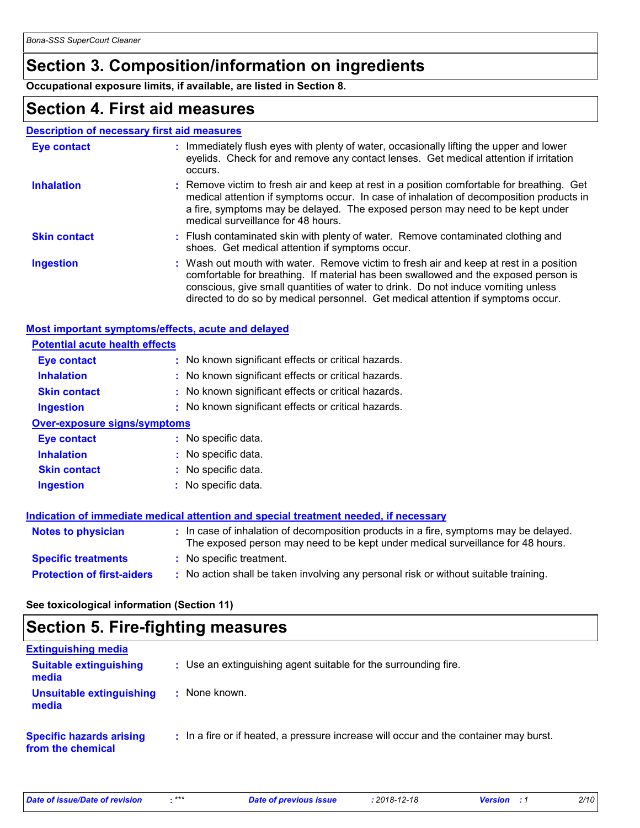### **Section 3. Composition/information on ingredients**

**Occupational exposure limits, if available, are listed in Section 8.**

### **Section 4. First aid measures**

#### **Description of necessary first aid measures**

| <b>Eye contact</b>  | : Immediately flush eyes with plenty of water, occasionally lifting the upper and lower<br>eyelids. Check for and remove any contact lenses. Get medical attention if irritation<br>occurs.                                                                                                                                                            |
|---------------------|--------------------------------------------------------------------------------------------------------------------------------------------------------------------------------------------------------------------------------------------------------------------------------------------------------------------------------------------------------|
| <b>Inhalation</b>   | : Remove victim to fresh air and keep at rest in a position comfortable for breathing. Get<br>medical attention if symptoms occur. In case of inhalation of decomposition products in<br>a fire, symptoms may be delayed. The exposed person may need to be kept under<br>medical surveillance for 48 hours.                                           |
| <b>Skin contact</b> | : Flush contaminated skin with plenty of water. Remove contaminated clothing and<br>shoes. Get medical attention if symptoms occur.                                                                                                                                                                                                                    |
| <b>Ingestion</b>    | : Wash out mouth with water. Remove victim to fresh air and keep at rest in a position<br>comfortable for breathing. If material has been swallowed and the exposed person is<br>conscious, give small quantities of water to drink. Do not induce vomiting unless<br>directed to do so by medical personnel. Get medical attention if symptoms occur. |

#### **Most important symptoms/effects, acute and delayed**

| <b>Potential acute health effects</b> |                                                                                                                                                                          |
|---------------------------------------|--------------------------------------------------------------------------------------------------------------------------------------------------------------------------|
| Eye contact                           | : No known significant effects or critical hazards.                                                                                                                      |
| <b>Inhalation</b>                     | : No known significant effects or critical hazards.                                                                                                                      |
| <b>Skin contact</b>                   | : No known significant effects or critical hazards.                                                                                                                      |
| <b>Ingestion</b>                      | : No known significant effects or critical hazards.                                                                                                                      |
| <b>Over-exposure signs/symptoms</b>   |                                                                                                                                                                          |
| Eye contact                           | : No specific data.                                                                                                                                                      |
| <b>Inhalation</b>                     | : No specific data.                                                                                                                                                      |
| <b>Skin contact</b>                   | : No specific data.                                                                                                                                                      |
| <b>Ingestion</b>                      | : No specific data.                                                                                                                                                      |
|                                       | Indication of immediate medical attention and special treatment needed, if necessary                                                                                     |
| <b>Notes to physician</b>             | : In case of inhalation of decomposition products in a fire, symptoms may be delayed.<br>The exposed person may need to be kept under medical surveillance for 48 hours. |
| <b>Specific treatments</b>            | : No specific treatment.                                                                                                                                                 |
| <b>Protection of first-aiders</b>     | : No action shall be taken involving any personal risk or without suitable training.                                                                                     |

**See toxicological information (Section 11)**

### **Section 5. Fire-fighting measures**

| <b>Extinguishing media</b>                           |                                                                                       |
|------------------------------------------------------|---------------------------------------------------------------------------------------|
| <b>Suitable extinguishing</b><br>media               | : Use an extinguishing agent suitable for the surrounding fire.                       |
| Unsuitable extinguishing<br>media                    | None known.                                                                           |
| <b>Specific hazards arising</b><br>from the chemical | : In a fire or if heated, a pressure increase will occur and the container may burst. |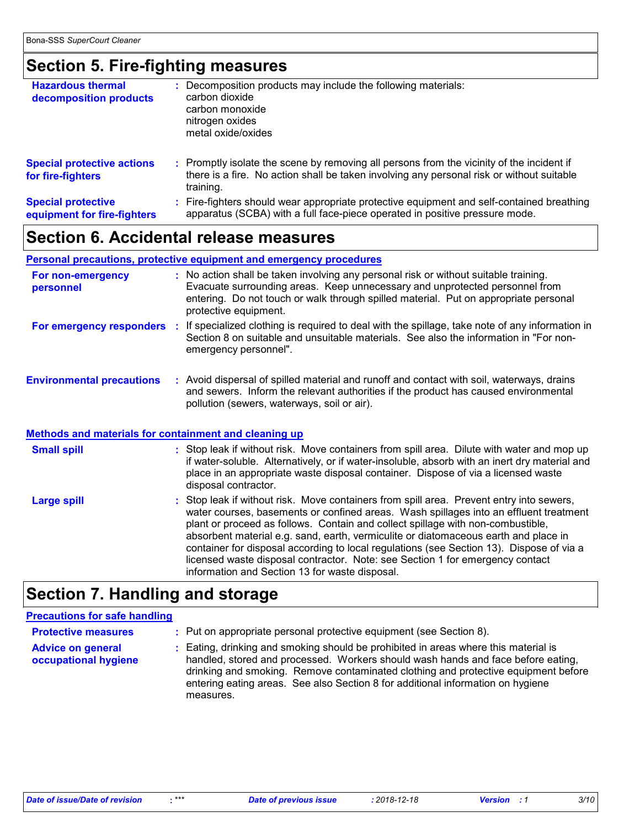### **Section 5. Fire-fighting measures**

| <b>Hazardous thermal</b><br>decomposition products       | : Decomposition products may include the following materials:<br>carbon dioxide<br>carbon monoxide<br>nitrogen oxides<br>metal oxide/oxides                                                         |
|----------------------------------------------------------|-----------------------------------------------------------------------------------------------------------------------------------------------------------------------------------------------------|
| <b>Special protective actions</b><br>for fire-fighters   | : Promptly isolate the scene by removing all persons from the vicinity of the incident if<br>there is a fire. No action shall be taken involving any personal risk or without suitable<br>training. |
| <b>Special protective</b><br>equipment for fire-fighters | : Fire-fighters should wear appropriate protective equipment and self-contained breathing<br>apparatus (SCBA) with a full face-piece operated in positive pressure mode.                            |

### **Section 6. Accidental release measures**

#### **Personal precautions, protective equipment and emergency procedures**

disposal contractor.

| For non-emergency<br>personnel                        | : No action shall be taken involving any personal risk or without suitable training.<br>Evacuate surrounding areas. Keep unnecessary and unprotected personnel from<br>entering. Do not touch or walk through spilled material. Put on appropriate personal<br>protective equipment. |
|-------------------------------------------------------|--------------------------------------------------------------------------------------------------------------------------------------------------------------------------------------------------------------------------------------------------------------------------------------|
| For emergency responders                              | If specialized clothing is required to deal with the spillage, take note of any information in<br>Section 8 on suitable and unsuitable materials. See also the information in "For non-<br>emergency personnel".                                                                     |
| <b>Environmental precautions</b>                      | : Avoid dispersal of spilled material and runoff and contact with soil, waterways, drains<br>and sewers. Inform the relevant authorities if the product has caused environmental<br>pollution (sewers, waterways, soil or air).                                                      |
| Methods and materials for containment and cleaning up |                                                                                                                                                                                                                                                                                      |
| <b>Small spill</b>                                    | : Stop leak if without risk. Move containers from spill area. Dilute with water and mop up<br>if water-soluble. Alternatively, or if water-insoluble, absorb with an inert dry material and<br>place in an appropriate waste disposal container. Dispose of via a licensed waste     |

#### : Stop leak if without risk. Move containers from spill area. Prevent entry into sewers, water courses, basements or confined areas. Wash spillages into an effluent treatment plant or proceed as follows. Contain and collect spillage with non-combustible, absorbent material e.g. sand, earth, vermiculite or diatomaceous earth and place in container for disposal according to local regulations (see Section 13). Dispose of via a licensed waste disposal contractor. Note: see Section 1 for emergency contact information and Section 13 for waste disposal. **Large spill :**

### **Section 7. Handling and storage**

#### **Precautions for safe handling**

| <b>Protective measures</b>                       | : Put on appropriate personal protective equipment (see Section 8).                                                                                                                                                                                                                                                                                           |
|--------------------------------------------------|---------------------------------------------------------------------------------------------------------------------------------------------------------------------------------------------------------------------------------------------------------------------------------------------------------------------------------------------------------------|
| <b>Advice on general</b><br>occupational hygiene | : Eating, drinking and smoking should be prohibited in areas where this material is<br>handled, stored and processed. Workers should wash hands and face before eating,<br>drinking and smoking. Remove contaminated clothing and protective equipment before<br>entering eating areas. See also Section 8 for additional information on hygiene<br>measures. |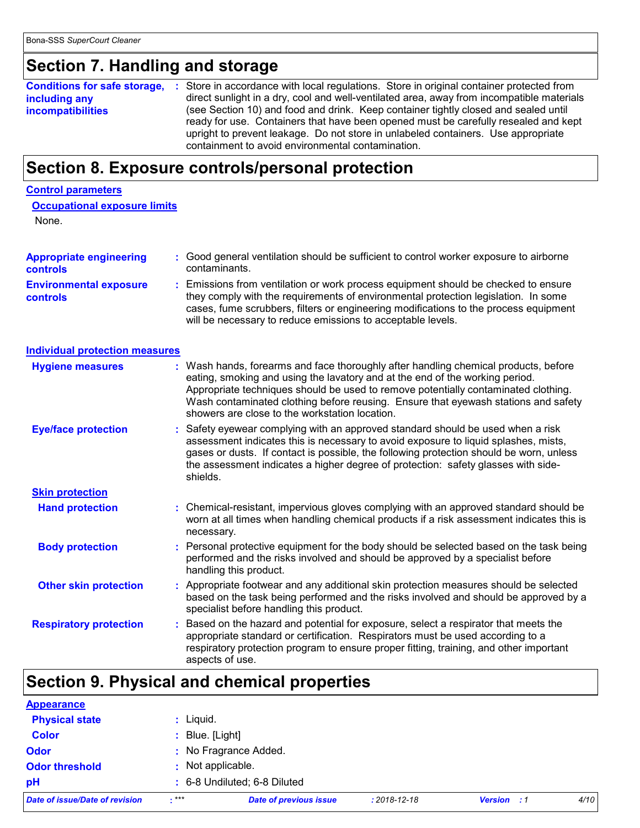### **Section 7. Handling and storage**

**Conditions for safe storage, : including any incompatibilities** Store in accordance with local regulations. Store in original container protected from direct sunlight in a dry, cool and well-ventilated area, away from incompatible materials (see Section 10) and food and drink. Keep container tightly closed and sealed until ready for use. Containers that have been opened must be carefully resealed and kept upright to prevent leakage. Do not store in unlabeled containers. Use appropriate containment to avoid environmental contamination.

### **Section 8. Exposure controls/personal protection**

#### **Control parameters**

|  | <b>Occupational exposure limits</b> |  |
|--|-------------------------------------|--|
|  |                                     |  |

None.

| <b>Appropriate engineering</b>                   | Good general ventilation should be sufficient to control worker exposure to airborne                                                                                                                                                                           |
|--------------------------------------------------|----------------------------------------------------------------------------------------------------------------------------------------------------------------------------------------------------------------------------------------------------------------|
| <b>controls</b>                                  | contaminants.                                                                                                                                                                                                                                                  |
| <b>Environmental exposure</b><br><b>controls</b> | Emissions from ventilation or work process equipment should be checked to ensure<br>they comply with the requirements of environmental protection legislation. In some<br>cases, fume scrubbers, filters or engineering modifications to the process equipment |

will be necessary to reduce emissions to acceptable levels.

#### **Individual protection measures**

| <b>Hygiene measures</b>       | : Wash hands, forearms and face thoroughly after handling chemical products, before<br>eating, smoking and using the lavatory and at the end of the working period.<br>Appropriate techniques should be used to remove potentially contaminated clothing.<br>Wash contaminated clothing before reusing. Ensure that eyewash stations and safety<br>showers are close to the workstation location. |
|-------------------------------|---------------------------------------------------------------------------------------------------------------------------------------------------------------------------------------------------------------------------------------------------------------------------------------------------------------------------------------------------------------------------------------------------|
| <b>Eye/face protection</b>    | : Safety eyewear complying with an approved standard should be used when a risk<br>assessment indicates this is necessary to avoid exposure to liquid splashes, mists,<br>gases or dusts. If contact is possible, the following protection should be worn, unless<br>the assessment indicates a higher degree of protection: safety glasses with side-<br>shields.                                |
| <b>Skin protection</b>        |                                                                                                                                                                                                                                                                                                                                                                                                   |
| <b>Hand protection</b>        | : Chemical-resistant, impervious gloves complying with an approved standard should be<br>worn at all times when handling chemical products if a risk assessment indicates this is<br>necessary.                                                                                                                                                                                                   |
| <b>Body protection</b>        | : Personal protective equipment for the body should be selected based on the task being<br>performed and the risks involved and should be approved by a specialist before<br>handling this product.                                                                                                                                                                                               |
| <b>Other skin protection</b>  | : Appropriate footwear and any additional skin protection measures should be selected<br>based on the task being performed and the risks involved and should be approved by a<br>specialist before handling this product.                                                                                                                                                                         |
| <b>Respiratory protection</b> | : Based on the hazard and potential for exposure, select a respirator that meets the<br>appropriate standard or certification. Respirators must be used according to a<br>respiratory protection program to ensure proper fitting, training, and other important<br>aspects of use.                                                                                                               |

### **Section 9. Physical and chemical properties**

| Date of issue/Date of revision | $***$         | <b>Date of previous issue</b> | $: 2018 - 12 - 18$ | <b>Version</b> : 1 | 4/10 |
|--------------------------------|---------------|-------------------------------|--------------------|--------------------|------|
| pH                             |               | : 6-8 Undiluted; 6-8 Diluted  |                    |                    |      |
| <b>Odor threshold</b>          |               | : Not applicable.             |                    |                    |      |
| <b>Odor</b>                    |               | : No Fragrance Added.         |                    |                    |      |
| <b>Color</b>                   | Blue. [Light] |                               |                    |                    |      |
| <b>Physical state</b>          | Liquid.       |                               |                    |                    |      |
| <b>Appearance</b>              |               |                               |                    |                    |      |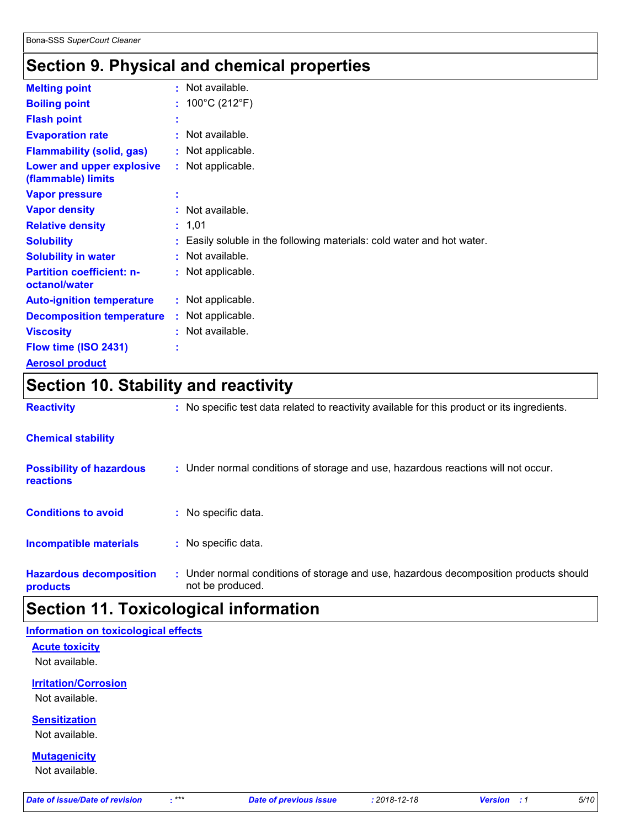## **Section 9. Physical and chemical properties**

| <b>Melting point</b>                              | $:$ Not available.                                                     |
|---------------------------------------------------|------------------------------------------------------------------------|
| <b>Boiling point</b>                              | : $100^{\circ}$ C (212 $^{\circ}$ F)                                   |
| <b>Flash point</b>                                |                                                                        |
| <b>Evaporation rate</b>                           | $:$ Not available.                                                     |
| <b>Flammability (solid, gas)</b>                  | : Not applicable.                                                      |
| Lower and upper explosive<br>(flammable) limits   | : Not applicable.                                                      |
| <b>Vapor pressure</b>                             |                                                                        |
| <b>Vapor density</b>                              | : Not available.                                                       |
| <b>Relative density</b>                           | : 1,01                                                                 |
| <b>Solubility</b>                                 | : Easily soluble in the following materials: cold water and hot water. |
| <b>Solubility in water</b>                        | $:$ Not available.                                                     |
| <b>Partition coefficient: n-</b><br>octanol/water | : Not applicable.                                                      |
| <b>Auto-ignition temperature</b>                  | : Not applicable.                                                      |
| <b>Decomposition temperature</b>                  | : Not applicable.                                                      |
| <b>Viscosity</b>                                  | $:$ Not available.                                                     |
| Flow time (ISO 2431)                              |                                                                        |
| <b>Aerosol product</b>                            |                                                                        |

### **Section 10. Stability and reactivity**

| <b>Chemical stability</b>                    |                                                                                                           |
|----------------------------------------------|-----------------------------------------------------------------------------------------------------------|
| <b>Possibility of hazardous</b><br>reactions | : Under normal conditions of storage and use, hazardous reactions will not occur.                         |
| <b>Conditions to avoid</b>                   | : No specific data.                                                                                       |
| <b>Incompatible materials</b>                | : No specific data.                                                                                       |
| <b>Hazardous decomposition</b><br>products   | : Under normal conditions of storage and use, hazardous decomposition products should<br>not be produced. |

**Reactivity :** No specific test data related to reactivity available for this product or its ingredients.

### **Section 11. Toxicological information**

#### **Information on toxicological effects**

**Acute toxicity**

Not available.

### **Irritation/Corrosion**

Not available.

#### **Sensitization**

Not available.

#### **Mutagenicity**

Not available.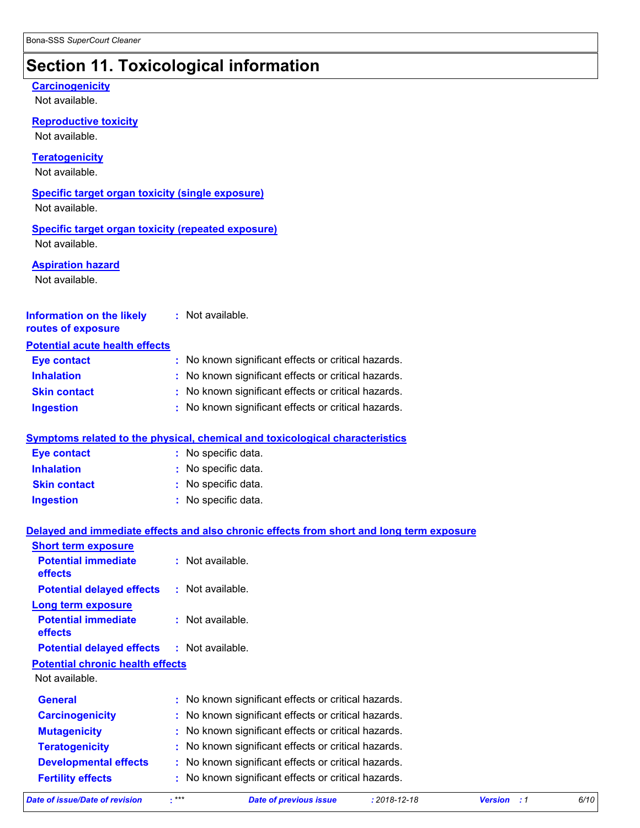## **Section 11. Toxicological information**

#### **Carcinogenicity**

Not available.

**Reproductive toxicity**

Not available.

#### **Teratogenicity**

Not available.

### **Specific target organ toxicity (single exposure)**

Not available.

#### **Specific target organ toxicity (repeated exposure)** Not available.

**Aspiration hazard**

Not available.

| <b>Information on the likely</b>      | $:$ Not available. |
|---------------------------------------|--------------------|
| routes of exposure                    |                    |
| <b>Potential acute health effects</b> |                    |

| <b>Eye contact</b>  | : No known significant effects or critical hazards. |
|---------------------|-----------------------------------------------------|
| <b>Inhalation</b>   | : No known significant effects or critical hazards. |
| <b>Skin contact</b> | : No known significant effects or critical hazards. |
| <b>Ingestion</b>    | : No known significant effects or critical hazards. |

#### **Symptoms related to the physical, chemical and toxicological characteristics**

| <b>Eye contact</b>  | : No specific data. |
|---------------------|---------------------|
| <b>Inhalation</b>   | : No specific data. |
| <b>Skin contact</b> | : No specific data. |
| <b>Ingestion</b>    | : No specific data. |

#### **Delayed and immediate effects and also chronic effects from short and long term exposure**

| <b>Short term exposure</b>              |       |                                                     |                    |                      |      |
|-----------------------------------------|-------|-----------------------------------------------------|--------------------|----------------------|------|
| <b>Potential immediate</b><br>effects   |       | $:$ Not available.                                  |                    |                      |      |
| <b>Potential delayed effects</b>        |       | $:$ Not available.                                  |                    |                      |      |
| Long term exposure                      |       |                                                     |                    |                      |      |
| <b>Potential immediate</b><br>effects   |       | : Not available.                                    |                    |                      |      |
| <b>Potential delayed effects</b>        |       | : Not available.                                    |                    |                      |      |
| <b>Potential chronic health effects</b> |       |                                                     |                    |                      |      |
| Not available.                          |       |                                                     |                    |                      |      |
| <b>General</b>                          |       | : No known significant effects or critical hazards. |                    |                      |      |
| <b>Carcinogenicity</b>                  |       | : No known significant effects or critical hazards. |                    |                      |      |
| <b>Mutagenicity</b>                     |       | : No known significant effects or critical hazards. |                    |                      |      |
| <b>Teratogenicity</b>                   |       | : No known significant effects or critical hazards. |                    |                      |      |
| <b>Developmental effects</b>            |       | : No known significant effects or critical hazards. |                    |                      |      |
| <b>Fertility effects</b>                |       | : No known significant effects or critical hazards. |                    |                      |      |
| Date of issue/Date of revision          | $***$ | <b>Date of previous issue</b>                       | $: 2018 - 12 - 18$ | <b>Version</b><br>:1 | 6/10 |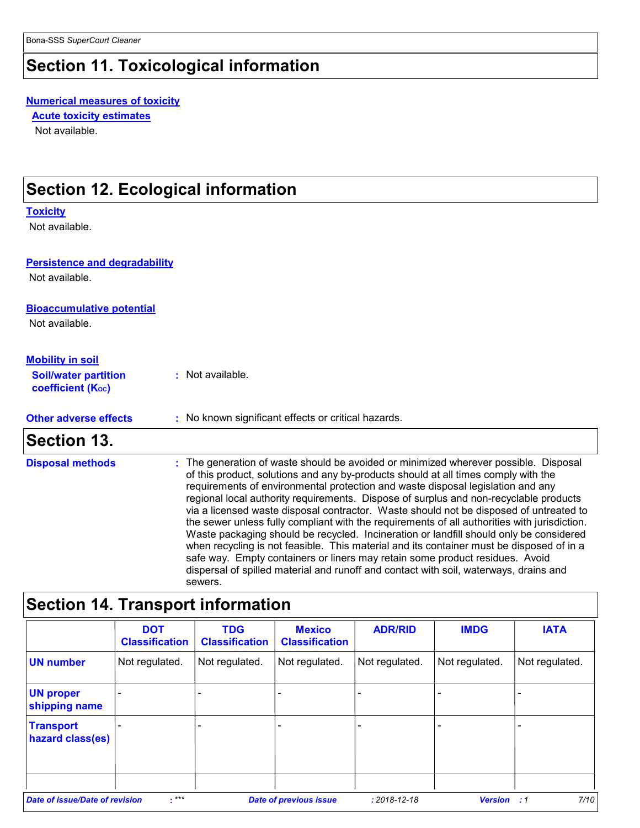## **Section 11. Toxicological information**

#### **Numerical measures of toxicity**

Not available. **Acute toxicity estimates**

### **Section 12. Ecological information**

#### **Toxicity**

Not available.

#### **Persistence and degradability**

Not available.

#### **Bioaccumulative potential**

Not available.

#### **Mobility in soil**

| <b>coefficient (Koc)</b><br>: No known significant effects or critical hazards. | <b>Section 13.</b>           |  |
|---------------------------------------------------------------------------------|------------------------------|--|
|                                                                                 | <b>Other adverse effects</b> |  |
| : Not available.                                                                | <b>Soil/water partition</b>  |  |

The generation of waste should be avoided or minimized wherever possible. Disposal of this product, solutions and any by-products should at all times comply with the requirements of environmental protection and waste disposal legislation and any regional local authority requirements. Dispose of surplus and non-recyclable products via a licensed waste disposal contractor. Waste should not be disposed of untreated to the sewer unless fully compliant with the requirements of all authorities with jurisdiction. Waste packaging should be recycled. Incineration or landfill should only be considered when recycling is not feasible. This material and its container must be disposed of in a safe way. Empty containers or liners may retain some product residues. Avoid dispersal of spilled material and runoff and contact with soil, waterways, drains and sewers. **Disposal methods :**

### **Section 14. Transport information**

|                                       | <b>DOT</b><br><b>Classification</b> | <b>TDG</b><br><b>Classification</b> | <b>Mexico</b><br><b>Classification</b> | <b>ADR/RID</b>     | <b>IMDG</b>    | <b>IATA</b>              |
|---------------------------------------|-------------------------------------|-------------------------------------|----------------------------------------|--------------------|----------------|--------------------------|
| <b>UN number</b>                      | Not regulated.                      | Not regulated.                      | Not regulated.                         | Not regulated.     | Not regulated. | Not regulated.           |
| <b>UN proper</b><br>shipping name     | $\overline{\phantom{a}}$            |                                     |                                        |                    |                | $\overline{\phantom{0}}$ |
| <b>Transport</b><br>hazard class(es)  |                                     |                                     |                                        |                    |                |                          |
| <b>Date of issue/Date of revision</b> | $:***$                              |                                     | <b>Date of previous issue</b>          | $: 2018 - 12 - 18$ | Version        | 7/10<br>:1               |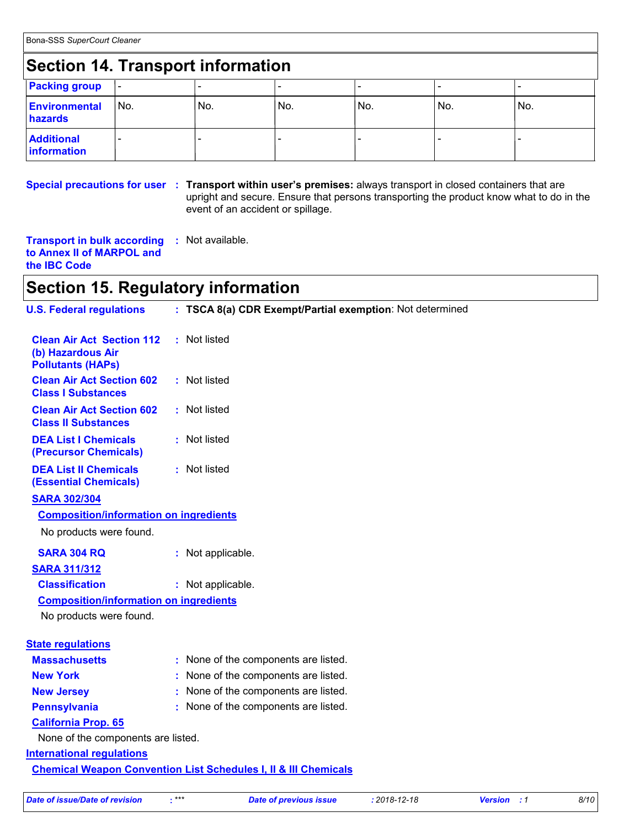### **Section 14. Transport information**

| <u>saan in mandhammannan mandh</u> |      |     |      |     |     |     |  |
|------------------------------------|------|-----|------|-----|-----|-----|--|
| <b>Packing group</b>               |      |     |      |     |     |     |  |
| <b>Environmental</b><br>hazards    | 'No. | No. | 'No. | No. | No. | No. |  |
| <b>Additional</b><br>information   |      |     |      |     |     |     |  |

#### **Special precautions for user** : Transport within user's premises: always transport in closed containers that are upright and secure. Ensure that persons transporting the product know what to do in the event of an accident or spillage.

**Transport in bulk according :** Not available. **to Annex II of MARPOL and the IBC Code**

### **Section 15. Regulatory information**

| <b>U.S. Federal regulations</b>                                                   | : TSCA 8(a) CDR Exempt/Partial exemption: Not determined |  |  |  |  |
|-----------------------------------------------------------------------------------|----------------------------------------------------------|--|--|--|--|
| <b>Clean Air Act Section 112</b><br>(b) Hazardous Air<br><b>Pollutants (HAPs)</b> | : Not listed                                             |  |  |  |  |
| <b>Clean Air Act Section 602</b><br><b>Class I Substances</b>                     | : Not listed                                             |  |  |  |  |
| <b>Clean Air Act Section 602</b><br><b>Class II Substances</b>                    | : Not listed                                             |  |  |  |  |
| <b>DEA List I Chemicals</b><br>(Precursor Chemicals)                              | : Not listed                                             |  |  |  |  |
| <b>DEA List II Chemicals</b><br><b>(Essential Chemicals)</b>                      | : Not listed                                             |  |  |  |  |
| <b>SARA 302/304</b>                                                               |                                                          |  |  |  |  |
| <b>Composition/information on ingredients</b>                                     |                                                          |  |  |  |  |
| No products were found.                                                           |                                                          |  |  |  |  |
| <b>SARA 304 RQ</b>                                                                | : Not applicable.                                        |  |  |  |  |
| <b>SARA 311/312</b>                                                               |                                                          |  |  |  |  |
| <b>Classification</b>                                                             | : Not applicable.                                        |  |  |  |  |
| <b>Composition/information on ingredients</b>                                     |                                                          |  |  |  |  |
| No products were found.                                                           |                                                          |  |  |  |  |
| <b>State regulations</b>                                                          |                                                          |  |  |  |  |
| <b>Massachusetts</b>                                                              | : None of the components are listed.                     |  |  |  |  |
| <b>New York</b>                                                                   | : None of the components are listed.                     |  |  |  |  |
| <b>New Jersey</b>                                                                 | : None of the components are listed.                     |  |  |  |  |
| <b>Pennsylvania</b>                                                               | : None of the components are listed.                     |  |  |  |  |
| <b>California Prop. 65</b>                                                        |                                                          |  |  |  |  |
| None of the components are listed.                                                |                                                          |  |  |  |  |
| <b>International regulations</b>                                                  |                                                          |  |  |  |  |
| <b>Chemical Weapon Convention List Schedules I, II &amp; III Chemicals</b>        |                                                          |  |  |  |  |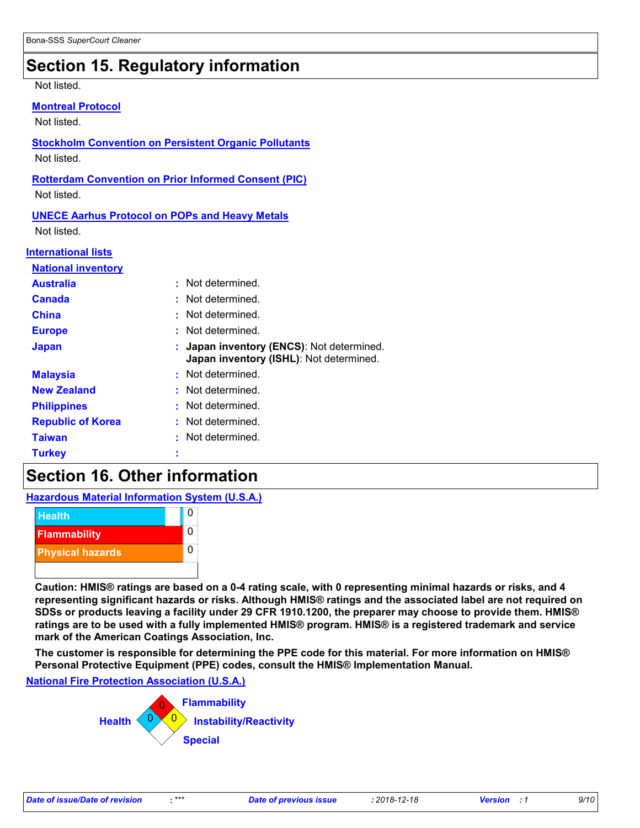### **Section 15. Regulatory information**

#### Not listed.

| <b>Montreal Protocol</b> |
|--------------------------|
|                          |

Not listed.

### **Stockholm Convention on Persistent Organic Pollutants** Not listed. **Rotterdam Convention on Prior Informed Consent (PIC)** Not listed. **UNECE Aarhus Protocol on POPs and Heavy Metals** Not listed.

#### **International lists**

| <b>National inventory</b> |                                                                                    |
|---------------------------|------------------------------------------------------------------------------------|
| <b>Australia</b>          | : Not determined.                                                                  |
| <b>Canada</b>             | : Not determined.                                                                  |
| <b>China</b>              | Not determined.                                                                    |
| <b>Europe</b>             | Not determined.                                                                    |
| <b>Japan</b>              | Japan inventory (ENCS): Not determined.<br>Japan inventory (ISHL): Not determined. |
| <b>Malaysia</b>           | : Not determined.                                                                  |
| <b>New Zealand</b>        | : Not determined.                                                                  |
| <b>Philippines</b>        | : Not determined.                                                                  |
| <b>Republic of Korea</b>  | : Not determined.                                                                  |
| <b>Taiwan</b>             | : Not determined.                                                                  |
| <b>Turkey</b>             |                                                                                    |

### **Section 16. Other information**

**Hazardous Material Information System (U.S.A.)**



**Caution: HMIS® ratings are based on a 0-4 rating scale, with 0 representing minimal hazards or risks, and 4 representing significant hazards or risks. Although HMIS® ratings and the associated label are not required on SDSs or products leaving a facility under 29 CFR 1910.1200, the preparer may choose to provide them. HMIS® ratings are to be used with a fully implemented HMIS® program. HMIS® is a registered trademark and service mark of the American Coatings Association, Inc.**

**The customer is responsible for determining the PPE code for this material. For more information on HMIS® Personal Protective Equipment (PPE) codes, consult the HMIS® Implementation Manual.**

**National Fire Protection Association (U.S.A.)**